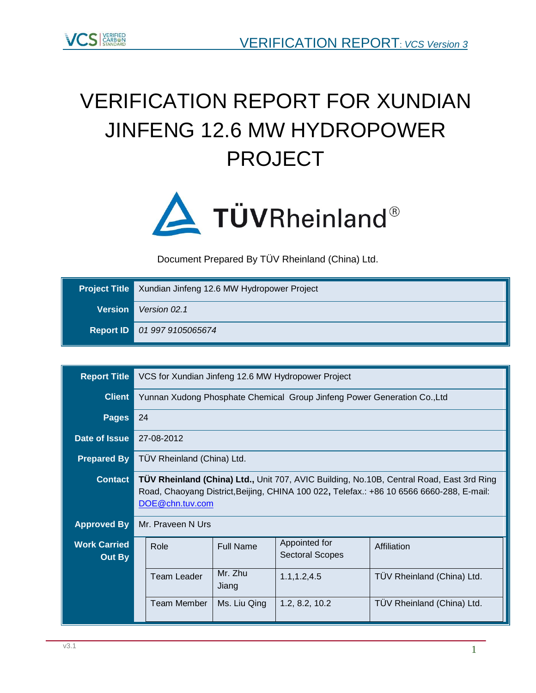

# VERIFICATION REPORT FOR XUNDIAN JINFENG 12.6 MW HYDROPOWER PROJECT



<span id="page-0-1"></span>Document Prepared By TÜV Rheinland (China) Ltd.

|                | <b>Project Title</b> Xundian Jinfeng 12.6 MW Hydropower Project |
|----------------|-----------------------------------------------------------------|
| <b>Version</b> | Version 02.1                                                    |
|                | Report ID 01 997 9105065674                                     |

<span id="page-0-0"></span>

| <b>Report Title</b>           | VCS for Xundian Jinfeng 12.6 MW Hydropower Project                                                                                                                                                      |                                                              |                                                                          |                            |  |  |  |
|-------------------------------|---------------------------------------------------------------------------------------------------------------------------------------------------------------------------------------------------------|--------------------------------------------------------------|--------------------------------------------------------------------------|----------------------------|--|--|--|
| <b>Client</b>                 |                                                                                                                                                                                                         |                                                              | Yunnan Xudong Phosphate Chemical Group Jinfeng Power Generation Co., Ltd |                            |  |  |  |
| <b>Pages</b>                  | 24                                                                                                                                                                                                      |                                                              |                                                                          |                            |  |  |  |
| Date of Issue                 | 27-08-2012                                                                                                                                                                                              |                                                              |                                                                          |                            |  |  |  |
| <b>Prepared By</b>            | TÜV Rheinland (China) Ltd.                                                                                                                                                                              |                                                              |                                                                          |                            |  |  |  |
| <b>Contact</b>                | TÜV Rheinland (China) Ltd., Unit 707, AVIC Building, No.10B, Central Road, East 3rd Ring<br>Road, Chaoyang District, Beijing, CHINA 100 022, Telefax.: +86 10 6566 6660-288, E-mail:<br>DOE@chn.tuv.com |                                                              |                                                                          |                            |  |  |  |
| <b>Approved By</b>            | Mr. Praveen N Urs                                                                                                                                                                                       |                                                              |                                                                          |                            |  |  |  |
| <b>Work Carried</b><br>Out By | Role                                                                                                                                                                                                    | <b>Full Name</b>                                             | Appointed for<br><b>Sectoral Scopes</b>                                  | Affiliation                |  |  |  |
|                               | Team Leader                                                                                                                                                                                             | Mr. Zhu<br>Jiang                                             | 1.1, 1.2, 4.5                                                            | TÜV Rheinland (China) Ltd. |  |  |  |
|                               | Team Member                                                                                                                                                                                             | 1.2, 8.2, 10.2<br>TÜV Rheinland (China) Ltd.<br>Ms. Liu Qing |                                                                          |                            |  |  |  |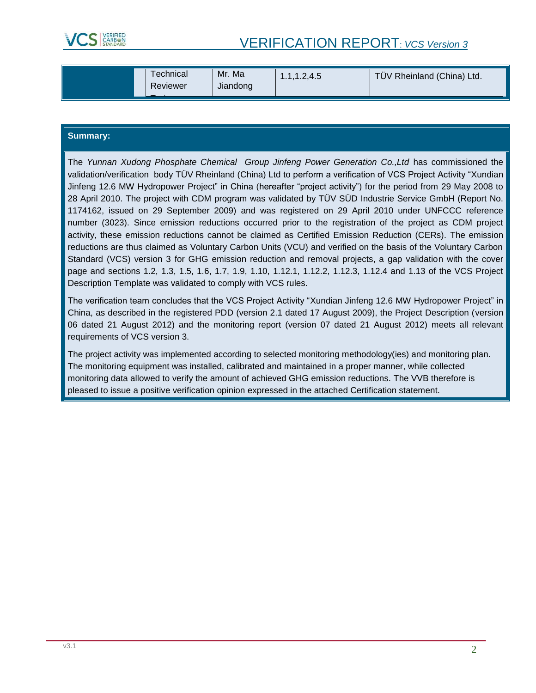

# <span id="page-1-1"></span><span id="page-1-0"></span>VERIFICATION REPORT: *VCS Version 3*

| Mr. Ma<br>⊺echnical<br>Reviewer<br>Jiandong | .1.1.2.4.5<br>. | TÜV Rheinland (China) Ltd. |
|---------------------------------------------|-----------------|----------------------------|
|---------------------------------------------|-----------------|----------------------------|

#### **Summary:**

The *[Yunnan Xudong Phosphate Chemical Group Jinfeng Power Generation Co.,Ltd](#page-0-0)* has commissioned the validation/verification body TÜV Rheinland (China) Ltd to perform a verification of VCS Project Activity ["Xundian](#page-0-1)  [Jinfeng 12.6 MW Hydropower Project"](#page-0-1) in China (hereafter "project activity") for the period from 29 May 2008 to 28 April 2010. The project with CDM program was validated by TÜV SÜD Industrie Service GmbH (Report No. 1174162, issued on 29 September 2009) and was registered on 29 April 2010 under UNFCCC reference number (3023). Since emission reductions occurred prior to the registration of the project as CDM project activity, these emission reductions cannot be claimed as Certified Emission Reduction (CERs). The emission reductions are thus claimed as Voluntary Carbon Units (VCU) and verified on the basis of the Voluntary Carbon Standard (VCS) version 3 for GHG emission reduction and removal projects, a gap validation with the cover page and sections 1.2, 1.3, 1.5, 1.6, 1.7, 1.9, 1.10, 1.12.1, 1.12.2, 1.12.3, 1.12.4 and 1.13 of the VCS Project Description Template was validated to comply with VCS rules.

<span id="page-1-5"></span><span id="page-1-4"></span><span id="page-1-3"></span><span id="page-1-2"></span>The verification team concludes that the VCS Project Activity ["Xundian Jinfeng 12.6 MW Hydropower Project"](#page-0-1) in China, as described in the registered PDD (version 2.1 dated 17 August 2009), the Project Description (version 06 dated 21 August 2012) and the monitoring report (version 07 dated 21 August 2012) meets all relevant requirements of VCS version 3.

The project activity was implemented according to selected monitoring methodology(ies) and monitoring plan. The monitoring equipment was installed, calibrated and maintained in a proper manner, while collected monitoring data allowed to verify the amount of achieved GHG emission reductions. The VVB therefore is pleased to issue a positive verification opinion expressed in the attached Certification statement.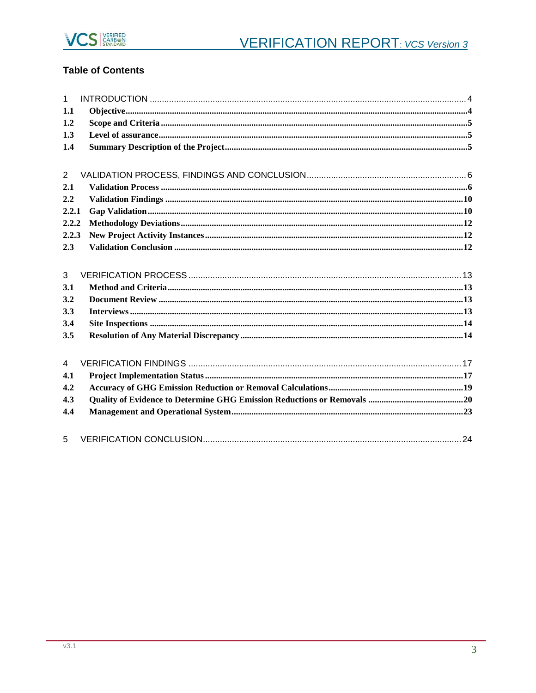

# **Table of Contents**

| $\mathbf{1}$   |  |
|----------------|--|
| 1.1            |  |
| 1.2            |  |
| 1.3            |  |
| 1.4            |  |
|                |  |
| 2              |  |
| 2.1            |  |
| 2.2            |  |
| 2.2.1          |  |
| 2.2.2          |  |
| 2.2.3          |  |
| 2.3            |  |
|                |  |
| 3              |  |
| 3.1            |  |
| 3.2            |  |
| 3.3            |  |
| 3.4            |  |
| 3.5            |  |
| $\overline{4}$ |  |
| 4.1            |  |
| 4.2            |  |
|                |  |
| 4.3            |  |
| 4.4            |  |
| 5              |  |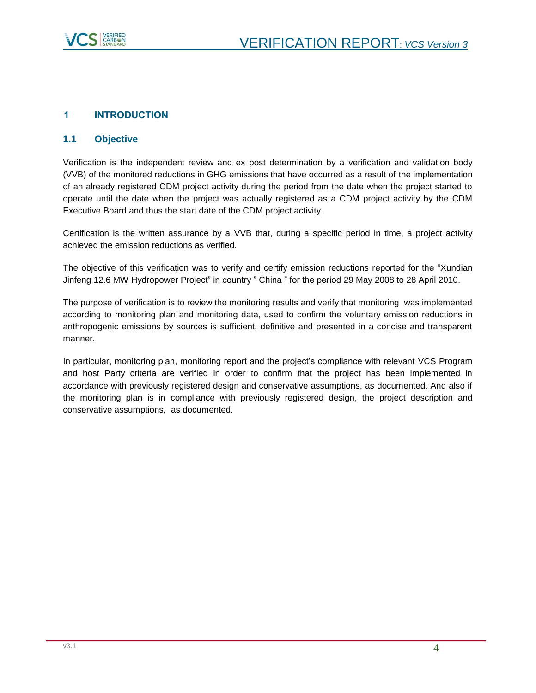

# <span id="page-3-0"></span>**1 INTRODUCTION**

#### <span id="page-3-1"></span>**1.1 Objective**

Verification is the independent review and ex post determination by a verification and validation body (VVB) of the monitored reductions in GHG emissions that have occurred as a result of the implementation of an already registered CDM project activity during the period from the date when the project started to operate until the date when the project was actually registered as a CDM project activity by the CDM Executive Board and thus the start date of the CDM project activity.

Certification is the written assurance by a VVB that, during a specific period in time, a project activity achieved the emission reductions as verified.

The objective of this verification was to verify and certify emission reductions reported for the ["Xundian](#page-0-1)  [Jinfeng 12.6 MW Hydropower Project"](#page-0-1) in country " China " for the period [29 May 2008 to 28 April 2010.](#page-1-0)

The purpose of verification is to review the monitoring results and verify that monitoring was implemented according to monitoring plan and monitoring data, used to confirm the voluntary emission reductions in anthropogenic emissions by sources is sufficient, definitive and presented in a concise and transparent manner.

In particular, monitoring plan, monitoring report and the project's compliance with relevant VCS Program and host Party criteria are verified in order to confirm that the project has been implemented in accordance with previously registered design and conservative assumptions, as documented. And also if the monitoring plan is in compliance with previously registered design, the project description and conservative assumptions, as documented.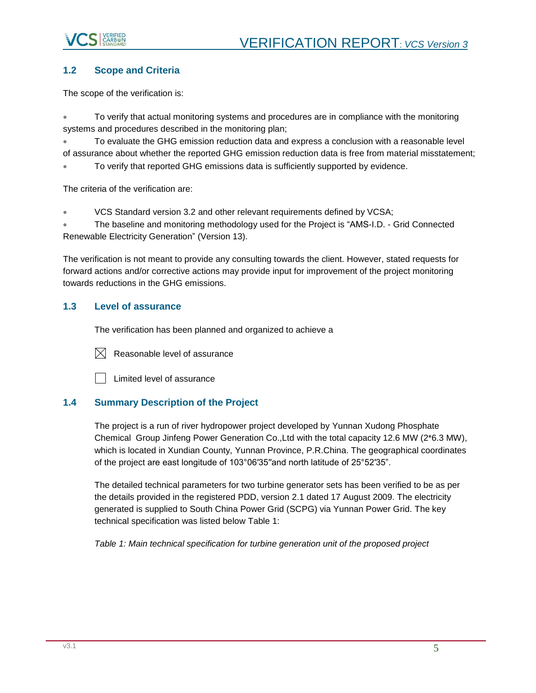

# <span id="page-4-0"></span>**1.2 Scope and Criteria**

The scope of the verification is:

 To verify that actual monitoring systems and procedures are in compliance with the monitoring systems and procedures described in the monitoring plan;

 To evaluate the GHG emission reduction data and express a conclusion with a reasonable level of assurance about whether the reported GHG emission reduction data is free from material misstatement;

To verify that reported GHG emissions data is sufficiently supported by evidence.

The criteria of the verification are:

VCS Standard version 3.2 and other relevant requirements defined by VCSA;

 The baseline and monitoring methodology used for the Project is "AMS-I.D. - Grid Connected Renewable Electricity Generation" (Version 13).

The verification is not meant to provide any consulting towards the client. However, stated requests for forward actions and/or corrective actions may provide input for improvement of the project monitoring towards reductions in the GHG emissions.

#### <span id="page-4-1"></span>**1.3 Level of assurance**

The verification has been planned and organized to achieve a



 $[\times]$  Reasonable level of assurance

Limited level of assurance

# <span id="page-4-2"></span>**1.4 Summary Description of the Project**

The project is a run of river hydropower project developed by [Yunnan Xudong Phosphate](#page-0-0)  [Chemical Group Jinfeng Power Generation Co.,Ltd](#page-0-0) with the total capacity 12.6 MW (2\*6.3 MW), which is located in Xundian County, Yunnan Province, P.R.China. The geographical coordinates of the project are east longitude of 103°06′35′′and north latitude of 25°52′35".

The detailed technical parameters for two turbine generator sets has been verified to be as per the details provided in the registered PDD, version 2.1 dated 17 August 2009. The electricity generated is supplied to South China Power Grid (SCPG) via Yunnan Power Grid. The key technical specification was listed below Table 1:

*Table 1: Main technical specification for turbine generation unit of the proposed project*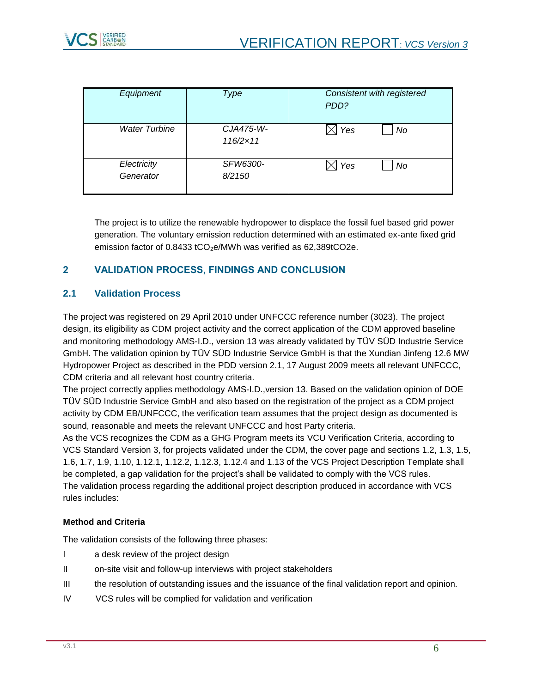

| Equipment                | Type                           | Consistent with registered<br>PDD? |
|--------------------------|--------------------------------|------------------------------------|
| <b>Water Turbine</b>     | CJA475-W-<br>$116/2 \times 11$ | Yes<br>No                          |
| Electricity<br>Generator | SFW6300-<br>8/2150             | Yes<br>No                          |

<span id="page-5-6"></span><span id="page-5-5"></span>The project is to utilize the renewable hydropower to displace the fossil fuel based grid power generation. The voluntary emission reduction determined with an estimated ex-ante fixed grid emission factor of  $0.8433$  tCO<sub>2</sub>e/MWh was verified as  $62,389$ tCO2e.

# <span id="page-5-0"></span>**2 VALIDATION PROCESS, FINDINGS AND CONCLUSION**

# <span id="page-5-1"></span>**2.1 Validation Process**

<span id="page-5-3"></span><span id="page-5-2"></span>The project was registered on [29 April 2010](#page-1-1) under UNFCCC reference number (3023). The project design, its eligibility as CDM project activity and the correct application of the CDM approved baseline and monitoring methodology AMS-I.D., version 13 was already validated by TÜV SÜD Industrie Service GmbH. The validation opinion by TÜV SÜD Industrie Service GmbH is that the [Xundian Jinfeng 12.6 MW](#page-0-1)  [Hydropower Project](#page-0-1) as described in the PDD version 2.1, 17 August 2009 meets all relevant UNFCCC, CDM criteria and all relevant host country criteria.

<span id="page-5-4"></span>The project correctly applies methodology [AMS-I.D.,](#page-5-2)[version 13.](#page-5-3) Based on the validation opinion of DOE TÜV SÜD Industrie Service GmbH and also based on the registration of the project as a CDM project activity by CDM EB/UNFCCC, the verification team assumes that the project design as documented is sound, reasonable and meets the relevant UNFCCC and host Party criteria.

As the VCS recognizes the CDM as a GHG Program meets its VCU Verification Criteria, according to VCS Standard Version 3, for projects validated under the CDM, the cover page and sections 1.2, 1.3, 1.5, 1.6, 1.7, 1.9, 1.10, 1.12.1, 1.12.2, 1.12.3, 1.12.4 and 1.13 of the VCS Project Description Template shall be completed, a gap validation for the project's shall be validated to comply with the VCS rules. The validation process regarding the additional project description produced in accordance with VCS rules includes:

#### **Method and Criteria**

The validation consists of the following three phases:

- I a desk review of the project design
- II on-site visit and follow-up interviews with project stakeholders
- III the resolution of outstanding issues and the issuance of the final validation report and opinion.
- IV VCS rules will be complied for validation and verification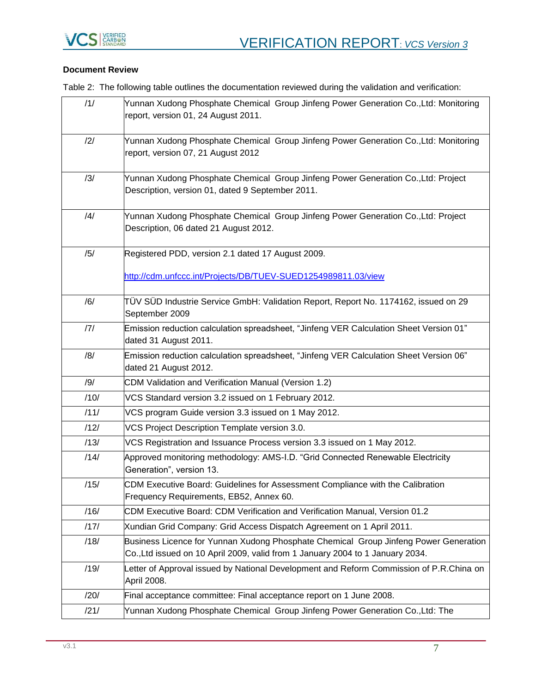

#### **Document Review**

Table 2: The following table outlines the documentation reviewed during the validation and verification:

<span id="page-6-10"></span><span id="page-6-9"></span><span id="page-6-8"></span><span id="page-6-7"></span><span id="page-6-6"></span><span id="page-6-5"></span><span id="page-6-4"></span><span id="page-6-3"></span><span id="page-6-2"></span><span id="page-6-1"></span><span id="page-6-0"></span>

| /1/  | Yunnan Xudong Phosphate Chemical Group Jinfeng Power Generation Co., Ltd: Monitoring<br>report, version 01, 24 August 2011.                                            |
|------|------------------------------------------------------------------------------------------------------------------------------------------------------------------------|
| /2/  | Yunnan Xudong Phosphate Chemical Group Jinfeng Power Generation Co., Ltd: Monitoring<br>report, version 07, 21 August 2012                                             |
| /3/  | Yunnan Xudong Phosphate Chemical Group Jinfeng Power Generation Co., Ltd: Project<br>Description, version 01, dated 9 September 2011.                                  |
| /4/  | Yunnan Xudong Phosphate Chemical Group Jinfeng Power Generation Co.,Ltd: Project<br>Description, 06 dated 21 August 2012.                                              |
| /5/  | Registered PDD, version 2.1 dated 17 August 2009.                                                                                                                      |
|      | http://cdm.unfccc.int/Projects/DB/TUEV-SUED1254989811.03/view                                                                                                          |
| /6/  | TÜV SÜD Industrie Service GmbH: Validation Report, Report No. 1174162, issued on 29<br>September 2009                                                                  |
| 7    | Emission reduction calculation spreadsheet, "Jinfeng VER Calculation Sheet Version 01"<br>dated 31 August 2011.                                                        |
| /8/  | Emission reduction calculation spreadsheet, "Jinfeng VER Calculation Sheet Version 06"<br>dated 21 August 2012.                                                        |
| /9/  | CDM Validation and Verification Manual (Version 1.2)                                                                                                                   |
| /10/ | VCS Standard version 3.2 issued on 1 February 2012.                                                                                                                    |
| /11/ | VCS program Guide version 3.3 issued on 1 May 2012.                                                                                                                    |
| /12/ | VCS Project Description Template version 3.0.                                                                                                                          |
| /13/ | VCS Registration and Issuance Process version 3.3 issued on 1 May 2012.                                                                                                |
| /14/ | Approved monitoring methodology: AMS-I.D. "Grid Connected Renewable Electricity<br>Generation", version 13.                                                            |
| /15/ | CDM Executive Board: Guidelines for Assessment Compliance with the Calibration<br>Frequency Requirements, EB52, Annex 60.                                              |
| /16/ | CDM Executive Board: CDM Verification and Verification Manual, Version 01.2                                                                                            |
| /17/ | Xundian Grid Company: Grid Access Dispatch Agreement on 1 April 2011.                                                                                                  |
| /18/ | Business Licence for Yunnan Xudong Phosphate Chemical Group Jinfeng Power Generation<br>Co., Ltd issued on 10 April 2009, valid from 1 January 2004 to 1 January 2034. |
| /19/ | Letter of Approval issued by National Development and Reform Commission of P.R.China on<br>April 2008.                                                                 |
| /20/ | Final acceptance committee: Final acceptance report on 1 June 2008.                                                                                                    |
| /21/ | Yunnan Xudong Phosphate Chemical Group Jinfeng Power Generation Co.,Ltd: The                                                                                           |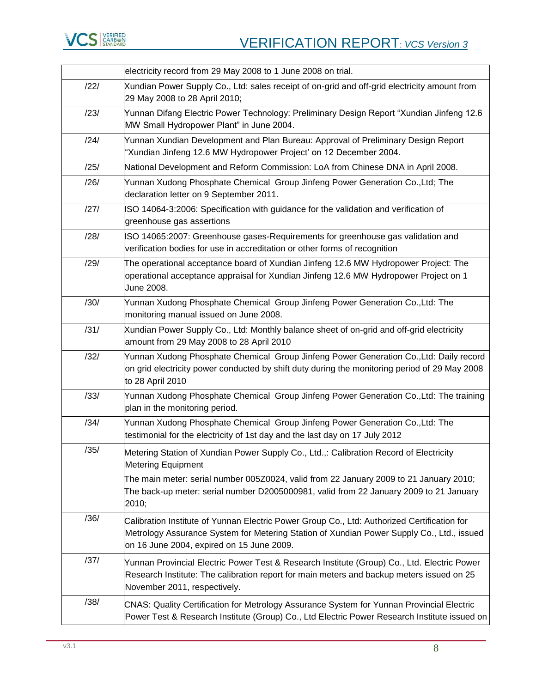

<span id="page-7-13"></span><span id="page-7-12"></span><span id="page-7-11"></span><span id="page-7-10"></span><span id="page-7-9"></span><span id="page-7-8"></span><span id="page-7-7"></span><span id="page-7-6"></span><span id="page-7-5"></span><span id="page-7-4"></span><span id="page-7-3"></span><span id="page-7-2"></span><span id="page-7-1"></span><span id="page-7-0"></span>

|      | electricity record from 29 May 2008 to 1 June 2008 on trial.                                                                                                                                                                          |
|------|---------------------------------------------------------------------------------------------------------------------------------------------------------------------------------------------------------------------------------------|
| /22/ | Xundian Power Supply Co., Ltd: sales receipt of on-grid and off-grid electricity amount from<br>29 May 2008 to 28 April 2010;                                                                                                         |
| /23/ | Yunnan Difang Electric Power Technology: Preliminary Design Report "Xundian Jinfeng 12.6<br>MW Small Hydropower Plant" in June 2004.                                                                                                  |
| /24/ | Yunnan Xundian Development and Plan Bureau: Approval of Preliminary Design Report<br>'Xundian Jinfeng 12.6 MW Hydropower Project' on 12 December 2004.                                                                                |
| /25/ | National Development and Reform Commission: LoA from Chinese DNA in April 2008.                                                                                                                                                       |
| /26/ | Yunnan Xudong Phosphate Chemical Group Jinfeng Power Generation Co.,Ltd; The<br>declaration letter on 9 September 2011.                                                                                                               |
| /27/ | ISO 14064-3:2006: Specification with guidance for the validation and verification of<br>greenhouse gas assertions                                                                                                                     |
| /28/ | ISO 14065:2007: Greenhouse gases-Requirements for greenhouse gas validation and<br>verification bodies for use in accreditation or other forms of recognition                                                                         |
| /29/ | The operational acceptance board of Xundian Jinfeng 12.6 MW Hydropower Project: The<br>operational acceptance appraisal for Xundian Jinfeng 12.6 MW Hydropower Project on 1<br>June 2008.                                             |
| /30/ | Yunnan Xudong Phosphate Chemical Group Jinfeng Power Generation Co.,Ltd: The<br>monitoring manual issued on June 2008.                                                                                                                |
| /31/ | Xundian Power Supply Co., Ltd: Monthly balance sheet of on-grid and off-grid electricity<br>amount from 29 May 2008 to 28 April 2010                                                                                                  |
| /32/ | Yunnan Xudong Phosphate Chemical Group Jinfeng Power Generation Co.,Ltd: Daily record<br>on grid electricity power conducted by shift duty during the monitoring period of 29 May 2008<br>to 28 April 2010                            |
| /33/ | Yunnan Xudong Phosphate Chemical Group Jinfeng Power Generation Co.,Ltd: The training<br>plan in the monitoring period.                                                                                                               |
| /34/ | Yunnan Xudong Phosphate Chemical Group Jinfeng Power Generation Co.,Ltd: The<br>testimonial for the electricity of 1st day and the last day on 17 July 2012                                                                           |
| /35/ | Metering Station of Xundian Power Supply Co., Ltd.,: Calibration Record of Electricity<br><b>Metering Equipment</b>                                                                                                                   |
|      | The main meter: serial number 005Z0024, valid from 22 January 2009 to 21 January 2010;<br>The back-up meter: serial number D2005000981, valid from 22 January 2009 to 21 January<br>2010;                                             |
| /36/ | Calibration Institute of Yunnan Electric Power Group Co., Ltd: Authorized Certification for<br>Metrology Assurance System for Metering Station of Xundian Power Supply Co., Ltd., issued<br>on 16 June 2004, expired on 15 June 2009. |
| /37/ | Yunnan Provincial Electric Power Test & Research Institute (Group) Co., Ltd. Electric Power<br>Research Institute: The calibration report for main meters and backup meters issued on 25<br>November 2011, respectively.              |
| /38/ | CNAS: Quality Certification for Metrology Assurance System for Yunnan Provincial Electric<br>Power Test & Research Institute (Group) Co., Ltd Electric Power Research Institute issued on                                             |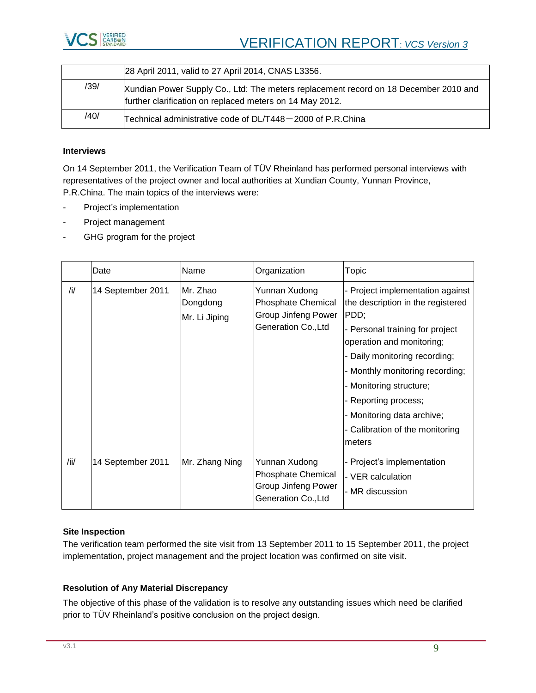

|      | 28 April 2011, valid to 27 April 2014, CNAS L3356.                                                                                               |
|------|--------------------------------------------------------------------------------------------------------------------------------------------------|
| /39/ | Xundian Power Supply Co., Ltd: The meters replacement record on 18 December 2010 and<br>further clarification on replaced meters on 14 May 2012. |
| /40/ | Technical administrative code of DL/T448-2000 of P.R.China                                                                                       |

#### <span id="page-8-0"></span>**Interviews**

On 14 September 2011, the Verification Team of TÜV Rheinland has performed personal interviews with representatives of the project owner and local authorities at Xundian County, Yunnan Province, P.R.China. The main topics of the interviews were:

- Project's implementation
- Project management
- GHG program for the project

|      | Date              | Name                                  | Organization                                                                             | Topic                                                                                                                                                                                                                                                                                                                                           |
|------|-------------------|---------------------------------------|------------------------------------------------------------------------------------------|-------------------------------------------------------------------------------------------------------------------------------------------------------------------------------------------------------------------------------------------------------------------------------------------------------------------------------------------------|
| /i/  | 14 September 2011 | Mr. Zhao<br>Dongdong<br>Mr. Li Jiping | Yunnan Xudong<br><b>Phosphate Chemical</b><br>Group Jinfeng Power<br>Generation Co., Ltd | - Project implementation against<br>the description in the registered<br>PDD;<br>- Personal training for project<br>operation and monitoring;<br>- Daily monitoring recording;<br>- Monthly monitoring recording;<br>- Monitoring structure;<br>- Reporting process;<br>- Monitoring data archive;<br>- Calibration of the monitoring<br>meters |
| /ii/ | 14 September 2011 | Mr. Zhang Ning                        | Yunnan Xudong<br><b>Phosphate Chemical</b><br>Group Jinfeng Power<br>Generation Co., Ltd | - Project's implementation<br>- VER calculation<br>- MR discussion                                                                                                                                                                                                                                                                              |

#### **Site Inspection**

The verification team performed the site visit from 13 September 2011 to 15 September 2011, the project implementation, project management and the project location was confirmed on site visit.

#### **Resolution of Any Material Discrepancy**

The objective of this phase of the validation is to resolve any outstanding issues which need be clarified prior to TÜV Rheinland's positive conclusion on the project design.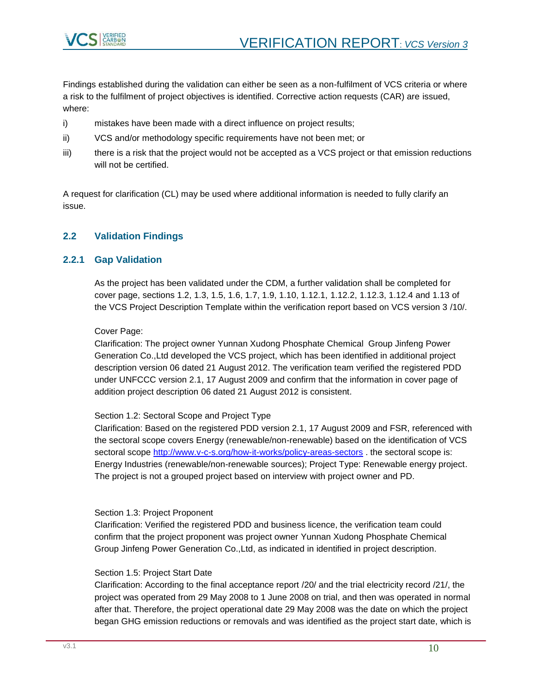

Findings established during the validation can either be seen as a non-fulfilment of VCS criteria or where a risk to the fulfilment of project objectives is identified. Corrective action requests (CAR) are issued, where:

- i) mistakes have been made with a direct influence on project results;
- ii) VCS and/or methodology specific requirements have not been met; or
- iii) there is a risk that the project would not be accepted as a VCS project or that emission reductions will not be certified.

A request for clarification (CL) may be used where additional information is needed to fully clarify an issue.

# <span id="page-9-0"></span>**2.2 Validation Findings**

# <span id="page-9-1"></span>**2.2.1 Gap Validation**

As the project has been validated under the CDM, a further validation shall be completed for cover page, sections 1.2, 1.3, 1.5, 1.6, 1.7, 1.9, 1.10, 1.12.1, 1.12.2, 1.12.3, 1.12.4 and 1.13 of the VCS Project Description Template within the verification report based on VCS version 3 [/10/.](#page-6-0)

Cover Page:

Clarification: The project owner [Yunnan Xudong Phosphate Chemical Group Jinfeng Power](#page-0-0)  [Generation Co.,Ltd](#page-0-0) developed the VCS project, which has been identified in additional project description version [06](#page-1-4) dated [21 August 2012.](#page-1-5) The verification team verified the registered PDD under UNFCCC [version 2.1, 17 August 2009](#page-5-4) and confirm that the information in cover page of addition project description [06](#page-1-4) dated [21 August 2012](#page-1-5) is consistent.

#### Section 1.2: Sectoral Scope and Project Type

Clarification: Based on the registered PDD [version 2.1, 17 August 2009](#page-5-4) and FSR, referenced with the sectoral scope covers Energy (renewable/non-renewable) based on the identification of VCS sectoral scope<http://www.v-c-s.org/how-it-works/policy-areas-sectors> . the sectoral scope is: Energy Industries (renewable/non-renewable sources); Project Type: Renewable energy project. The project is not a grouped project based on interview with project owner and PD.

#### Section 1.3: Project Proponent

Clarification: Verified the registered PDD and business licence, the verification team could confirm that the project proponent was project owner [Yunnan Xudong Phosphate Chemical](#page-0-0)  [Group Jinfeng Power Generation Co.,Ltd,](#page-0-0) as indicated in identified in project description.

#### Section 1.5: Project Start Date

Clarification: According to the final acceptance report [/20/](#page-6-1) and the trial electricity record [/21/,](#page-6-2) the project was operated from 29 May 2008 to 1 June 2008 on trial, and then was operated in normal after that. Therefore, the project operational date 29 May 2008 was the date on which the project began GHG emission reductions or removals and was identified as the project start date, which is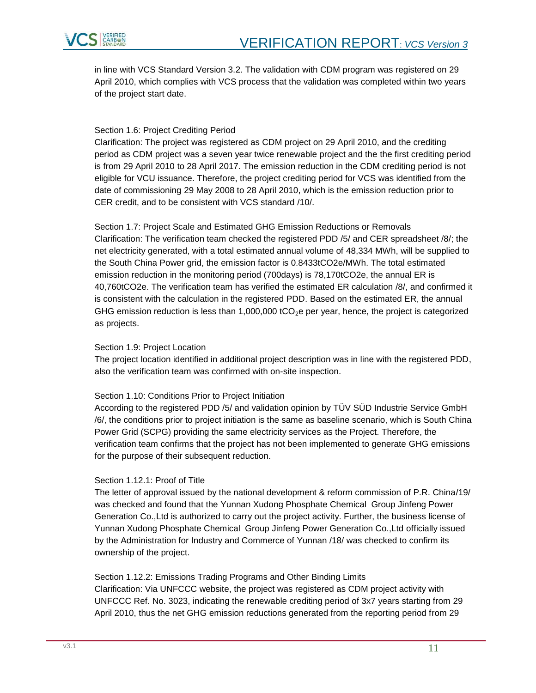

in line with VCS Standard Version 3.2. The validation with CDM program was registered on [29](#page-1-1)  [April 2010,](#page-1-1) which complies with VCS process that the validation was completed within two years of the project start date.

#### Section 1.6: Project Crediting Period

Clarification: The project was registered as CDM project on 29 April 2010, and the crediting period as CDM project was a seven year twice renewable project and the the first crediting period is from 29 April 2010 to 28 April 2017. The emission reduction in the CDM crediting period is not eligible for VCU issuance. Therefore, the project crediting period for VCS was identified from the date of commissioning [29 May 2008 to 28 April 2010,](#page-1-0) which is the emission reduction prior to CER credit, and to be consistent with VCS standard [/10/.](#page-6-0)

Section 1.7: Project Scale and Estimated GHG Emission Reductions or Removals Clarification: The verification team checked the registered PDD [/5/](#page-6-3) and CER spreadsheet [/8/;](#page-6-4) the net electricity generated, with a total estimated annual volume of 48,334 MWh, will be supplied to the South China Power grid, the emission factor is 0.8433tCO2e/MWh. The total estimated emission reduction in the monitoring period (700days) is 78,170tCO2e, the annual ER is 40,760tCO2e. The verification team has verified the estimated ER calculation [/8/,](#page-6-4) and confirmed it is consistent with the calculation in the registered PDD. Based on the estimated ER, the annual GHG emission reduction is less than 1,000,000 tCO<sub>2</sub>e per year, hence, the project is categorized as projects.

#### Section 1.9: Project Location

The project location identified in additional project description was in line with the registered PDD, also the verification team was confirmed with on-site inspection.

#### Section 1.10: Conditions Prior to Project Initiation

According to the registered PDD [/5/](#page-6-3) and validation opinion by TÜV SÜD Industrie Service GmbH [/6/,](#page-6-5) the conditions prior to project initiation is the same as baseline scenario, which is South China Power Grid (SCPG) providing the same electricity services as the Project. Therefore, the verification team confirms that the project has not been implemented to generate GHG emissions for the purpose of their subsequent reduction.

#### Section 1.12.1: Proof of Title

The letter of approval issued by the national development & reform commission of P.R. Chin[a/19/](#page-6-6) was checked and found that the [Yunnan Xudong Phosphate Chemical Group Jinfeng Power](#page-0-0)  [Generation Co.,Ltd](#page-0-0) is authorized to carry out the project activity. Further, the business license of [Yunnan Xudong Phosphate Chemical Group Jinfeng Power Generation Co.,Ltd](#page-0-0) officially issued by the Administration for Industry and Commerce of Yunnan [/18/](#page-6-7) was checked to confirm its ownership of the project.

Section 1.12.2: Emissions Trading Programs and Other Binding Limits Clarification: Via UNFCCC website, the project was registered as CDM project activity with UNFCCC Ref. No. 3023, indicating the renewable crediting period of 3x7 years starting from 29 April 2010, thus the net GHG emission reductions generated from the reporting period from [29](#page-1-0)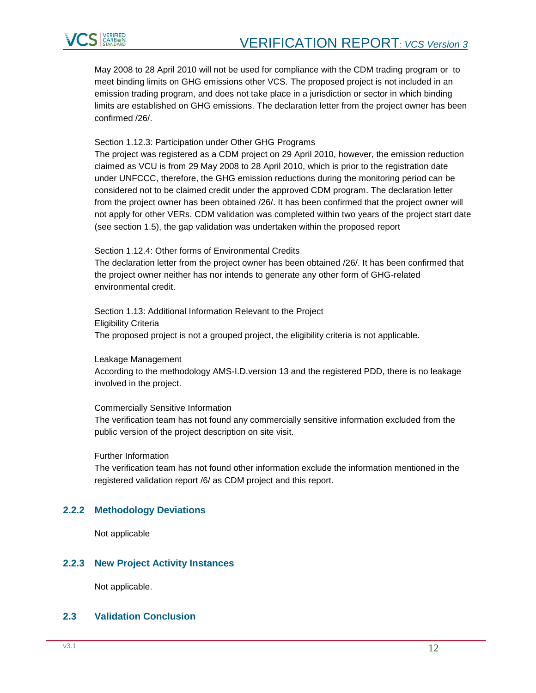

[May 2008 to 28 April 2010](#page-1-0) will not be used for compliance with the CDM trading program or to meet binding limits on GHG emissions other VCS. The proposed project is not included in an emission trading program, and does not take place in a jurisdiction or sector in which binding limits are established on GHG emissions. The declaration letter from the project owner has been confirmed [/26/.](#page-7-0)

Section 1.12.3: Participation under Other GHG Programs

The project was registered as a CDM project on 29 April 2010, however, the emission reduction claimed as VCU is from [29 May 2008 to 28 April 2010,](#page-1-0) which is prior to the registration date under UNFCCC, therefore, the GHG emission reductions during the monitoring period can be considered not to be claimed credit under the approved CDM program. The declaration letter from the project owner has been obtained [/26/.](#page-7-0) It has been confirmed that the project owner will not apply for other VERs. CDM validation was completed within two years of the project start date (see section 1.5), the gap validation was undertaken within the proposed report

Section 1.12.4: Other forms of Environmental Credits

The declaration letter from the project owner has been obtained [/26/.](#page-7-0) It has been confirmed that the project owner neither has nor intends to generate any other form of GHG-related environmental credit.

Section 1.13: Additional Information Relevant to the Project Eligibility Criteria The proposed project is not a grouped project, the eligibility criteria is not applicable.

Leakage Management

According to the methodology [AMS-I.D.v](#page-5-2)ersion 13 and the registered PDD, there is no leakage involved in the project.

Commercially Sensitive Information

The verification team has not found any commercially sensitive information excluded from the public version of the project description on site visit.

Further Information

The verification team has not found other information exclude the information mentioned in the registered validation report [/6/](#page-6-5) as CDM project and this report.

#### <span id="page-11-0"></span>**2.2.2 Methodology Deviations**

Not applicable

#### <span id="page-11-1"></span>**2.2.3 New Project Activity Instances**

Not applicable.

# <span id="page-11-2"></span>**2.3 Validation Conclusion**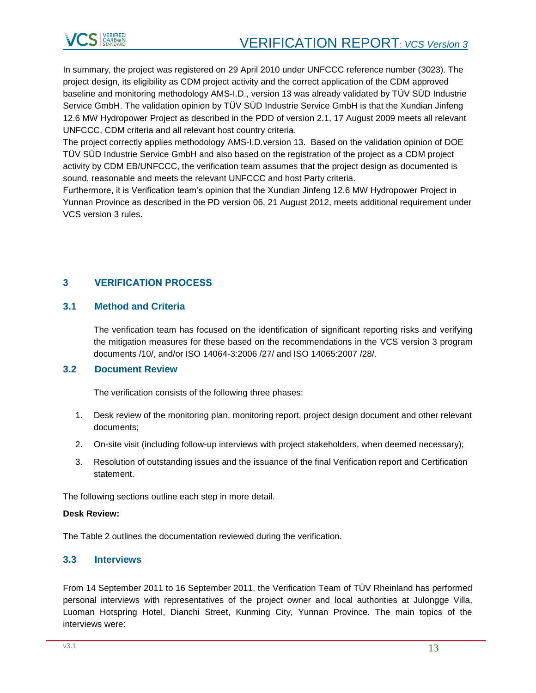

In summary, the project was registered on [29 April 2010](#page-1-1) under UNFCCC reference number [\(3023\)](#page-5-5). The project design, its eligibility as CDM project activity and the correct application of the CDM approved baseline and monitoring methodology [AMS-I.D.,](#page-5-2) [version 13](#page-5-3) was already validated by TÜV SÜD Industrie Service GmbH. The validation opinion by TÜV SÜD Industrie Service GmbH is that the [Xundian Jinfeng](#page-0-1)  [12.6 MW Hydropower Project](#page-0-1) as described in the PDD of [version 2.1, 17 August 2009](#page-5-4) meets all relevant UNFCCC, CDM criteria and all relevant host country criteria.

The project correctly applies methodology [AMS-I.D.version 13.](#page-5-2) Based on the validation opinion of DOE TÜV SÜD Industrie Service GmbH and also based on the registration of the project as a CDM project activity by CDM EB/UNFCCC, the verification team assumes that the project design as documented is sound, reasonable and meets the relevant UNFCCC and host Party criteria.

Furthermore, it is Verification team's opinion that the [Xundian Jinfeng 12.6 MW Hydropower Project](#page-0-1) in Yunnan Province as described in the PD version [06,](#page-1-4) [21 August 2012,](#page-1-5) meets additional requirement under VCS version 3 rules.

# <span id="page-12-0"></span>**3 VERIFICATION PROCESS**

#### <span id="page-12-1"></span>**3.1 Method and Criteria**

The verification team has focused on the identification of significant reporting risks and verifying the mitigation measures for these based on the recommendations in the VCS version 3 program documents [/10/,](#page-6-0) and/or ISO 14064-3:2006 [/27/](#page-7-1) and ISO 14065:2007 [/28/.](#page-7-2)

#### <span id="page-12-2"></span>**3.2 Document Review**

The verification consists of the following three phases:

- 1. Desk review of the monitoring plan, monitoring report, project design document and other relevant documents;
- 2. On-site visit (including follow-up interviews with project stakeholders, when deemed necessary);
- 3. Resolution of outstanding issues and the issuance of the final Verification report and Certification statement.

The following sections outline each step in more detail.

#### **Desk Review:**

The Table 2 outlines the documentation reviewed during the verification.

#### <span id="page-12-3"></span>**3.3 Interviews**

From 14 September 2011 to 16 September 2011, the Verification Team of TÜV Rheinland has performed personal interviews with representatives of the project owner and local authorities at Julongge Villa, Luoman Hotspring Hotel, Dianchi Street, Kunming City, Yunnan Province. The main topics of the interviews were: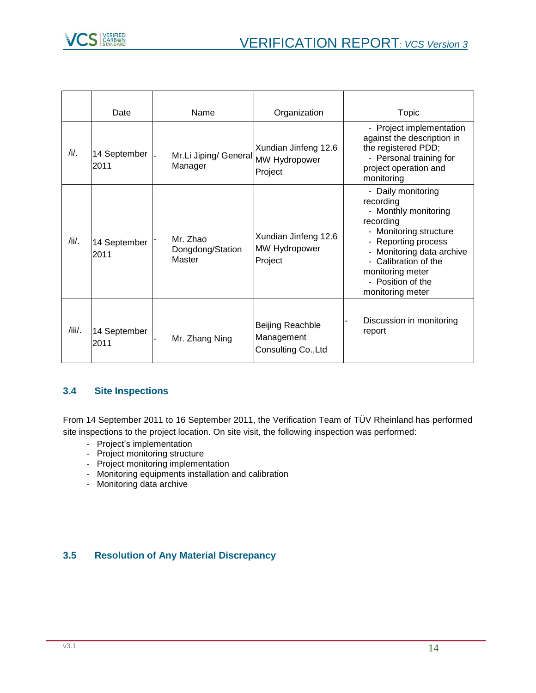

|        | Date                 | Name                                   | Organization                                          | Topic                                                                                                                                                                                                                                                           |
|--------|----------------------|----------------------------------------|-------------------------------------------------------|-----------------------------------------------------------------------------------------------------------------------------------------------------------------------------------------------------------------------------------------------------------------|
| /i/.   | 14 September<br>2011 | Mr.Li Jiping/ General<br>Manager       | Xundian Jinfeng 12.6<br>MW Hydropower<br>Project      | - Project implementation<br>against the description in<br>the registered PDD;<br>- Personal training for<br>project operation and<br>monitoring                                                                                                                 |
| /ii/.  | 14 September<br>2011 | Mr. Zhao<br>Dongdong/Station<br>Master | Xundian Jinfeng 12.6<br>MW Hydropower<br>Project      | - Daily monitoring<br>recording<br>- Monthly monitoring<br>recording<br>- Monitoring structure<br>Reporting process<br>Monitoring data archive<br>$\overline{\phantom{0}}$<br>- Calibration of the<br>monitoring meter<br>- Position of the<br>monitoring meter |
| /iii/. | 14 September<br>2011 | Mr. Zhang Ning                         | Beijing Reachble<br>Management<br>Consulting Co., Ltd | Discussion in monitoring<br>report                                                                                                                                                                                                                              |

# <span id="page-13-0"></span>**3.4 Site Inspections**

From 14 September 2011 to 16 September 2011, the Verification Team of TÜV Rheinland has performed site inspections to the project location. On site visit, the following inspection was performed:

- Project's implementation
- Project monitoring structure
- Project monitoring implementation
- Monitoring equipments installation and calibration
- Monitoring data archive

# <span id="page-13-1"></span>**3.5 Resolution of Any Material Discrepancy**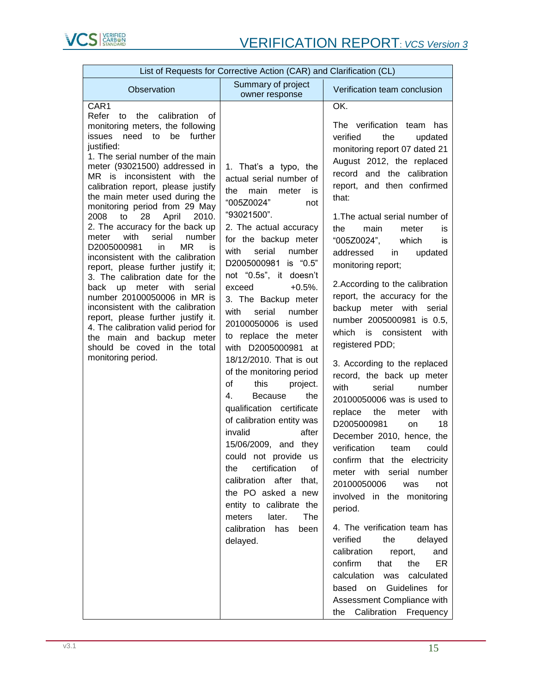

| List of Requests for Corrective Action (CAR) and Clarification (CL)                                                                                                                                                                                                                                                                                                                                                                                                                                                                                                                                                                                                                                                                                                                                                                                                              |                                                                                                                                                                                                                                                                                                                                                                                                                                                                                                                                                                                                                                                                                                                                                                                                                                 |                                                                                                                                                                                                                                                                                                                                                                                                                                                                                                                                                                                                                                                                                                                                                                                                                                                                                                                                                                                                                                                                                                                                                                                    |  |  |  |
|----------------------------------------------------------------------------------------------------------------------------------------------------------------------------------------------------------------------------------------------------------------------------------------------------------------------------------------------------------------------------------------------------------------------------------------------------------------------------------------------------------------------------------------------------------------------------------------------------------------------------------------------------------------------------------------------------------------------------------------------------------------------------------------------------------------------------------------------------------------------------------|---------------------------------------------------------------------------------------------------------------------------------------------------------------------------------------------------------------------------------------------------------------------------------------------------------------------------------------------------------------------------------------------------------------------------------------------------------------------------------------------------------------------------------------------------------------------------------------------------------------------------------------------------------------------------------------------------------------------------------------------------------------------------------------------------------------------------------|------------------------------------------------------------------------------------------------------------------------------------------------------------------------------------------------------------------------------------------------------------------------------------------------------------------------------------------------------------------------------------------------------------------------------------------------------------------------------------------------------------------------------------------------------------------------------------------------------------------------------------------------------------------------------------------------------------------------------------------------------------------------------------------------------------------------------------------------------------------------------------------------------------------------------------------------------------------------------------------------------------------------------------------------------------------------------------------------------------------------------------------------------------------------------------|--|--|--|
| Observation                                                                                                                                                                                                                                                                                                                                                                                                                                                                                                                                                                                                                                                                                                                                                                                                                                                                      | Summary of project<br>owner response                                                                                                                                                                                                                                                                                                                                                                                                                                                                                                                                                                                                                                                                                                                                                                                            | Verification team conclusion                                                                                                                                                                                                                                                                                                                                                                                                                                                                                                                                                                                                                                                                                                                                                                                                                                                                                                                                                                                                                                                                                                                                                       |  |  |  |
| CAR <sub>1</sub><br>Refer to the<br>calibration<br>of<br>monitoring meters, the following<br>issues need to be further<br>justified:<br>1. The serial number of the main<br>meter (93021500) addressed in<br>MR is inconsistent with the<br>calibration report, please justify<br>the main meter used during the<br>monitoring period from 29 May<br>2008<br>April<br>to<br>28<br>2010.<br>2. The accuracy for the back up<br>meter with<br>serial<br>number<br>D2005000981<br>in<br>MR.<br>is<br>inconsistent with the calibration<br>report, please further justify it;<br>3. The calibration date for the<br>back up meter with<br>serial<br>number 20100050006 in MR is<br>inconsistent with the calibration<br>report, please further justify it.<br>4. The calibration valid period for<br>the main and backup meter<br>should be coved in the total<br>monitoring period. | 1. That's a typo, the<br>actual serial number of<br>main<br>the<br>meter<br>is<br>"005Z0024"<br>not<br>"93021500".<br>2. The actual accuracy<br>for the backup meter<br>with<br>serial<br>number<br>D2005000981 is "0.5"<br>not "0.5s", it doesn't<br>$+0.5%$ .<br>exceed<br>3. The Backup meter<br>serial<br>with<br>number<br>20100050006 is used<br>to replace the meter<br>with D2005000981 at<br>18/12/2010. That is out<br>of the monitoring period<br>of<br>this<br>project.<br>the<br>4.<br><b>Because</b><br>qualification certificate<br>of calibration entity was<br>invalid<br>after<br>15/06/2009, and they<br>could not provide us<br>certification<br>0f<br>the<br>calibration after that,<br>the PO asked a new<br>entity to calibrate the<br>meters<br>later.<br>The<br>calibration<br>has<br>been<br>delayed. | OK.<br>The verification team has<br>verified<br>the<br>updated<br>monitoring report 07 dated 21<br>August 2012, the replaced<br>record and the calibration<br>report, and then confirmed<br>that:<br>1. The actual serial number of<br>the<br>main<br>meter<br>is<br>"005Z0024",<br>which<br>is<br>addressed in<br>updated<br>monitoring report;<br>2. According to the calibration<br>report, the accuracy for the<br>backup meter with<br>serial<br>number 2005000981 is 0.5,<br>which is consistent<br>with<br>registered PDD;<br>3. According to the replaced<br>record, the back up meter<br>with<br>serial<br>number<br>20100050006 was is used to<br>replace<br>the<br>with<br>meter<br>D2005000981<br>18<br>on<br>December 2010, hence, the<br>verification<br>could<br>team<br>confirm that the electricity<br>meter with serial number<br>20100050006<br>was<br>not<br>involved in the monitoring<br>period.<br>4. The verification team has<br>verified<br>the<br>delayed<br>calibration<br>and<br>report,<br>confirm<br>that<br>the<br>ER<br>calculation<br>was<br>calculated<br>Guidelines for<br>based on<br>Assessment Compliance with<br>the Calibration Frequency |  |  |  |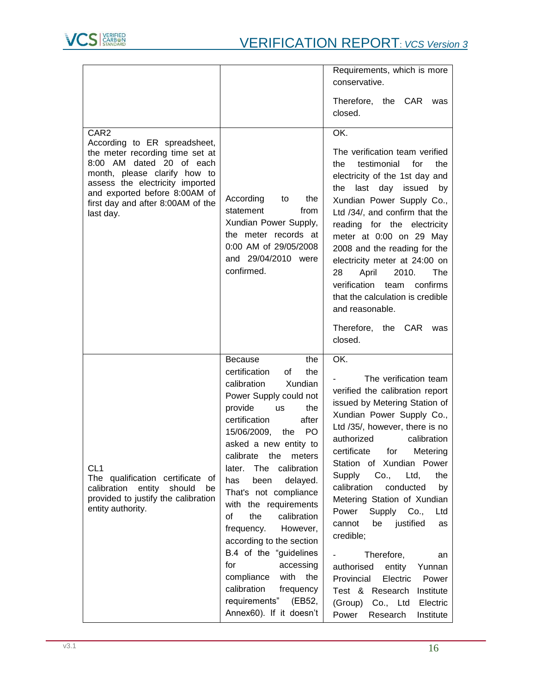

|                                                                                                                                                                                                                                                                       |                                                                                                                                                                                                                                                                                                                                                                                                                                                                                                                                                                                                          | Requirements, which is more<br>conservative.                                                                                                                                                                                                                                                                                                                                                                                                                                                                                                                                                                                                         |
|-----------------------------------------------------------------------------------------------------------------------------------------------------------------------------------------------------------------------------------------------------------------------|----------------------------------------------------------------------------------------------------------------------------------------------------------------------------------------------------------------------------------------------------------------------------------------------------------------------------------------------------------------------------------------------------------------------------------------------------------------------------------------------------------------------------------------------------------------------------------------------------------|------------------------------------------------------------------------------------------------------------------------------------------------------------------------------------------------------------------------------------------------------------------------------------------------------------------------------------------------------------------------------------------------------------------------------------------------------------------------------------------------------------------------------------------------------------------------------------------------------------------------------------------------------|
|                                                                                                                                                                                                                                                                       |                                                                                                                                                                                                                                                                                                                                                                                                                                                                                                                                                                                                          | Therefore, the CAR was<br>closed.                                                                                                                                                                                                                                                                                                                                                                                                                                                                                                                                                                                                                    |
| CAR <sub>2</sub><br>According to ER spreadsheet,<br>the meter recording time set at<br>8:00 AM dated 20 of each<br>month, please clarify how to<br>assess the electricity imported<br>and exported before 8:00AM of<br>first day and after 8:00AM of the<br>last day. | According<br>the<br>to<br>statement<br>from<br>Xundian Power Supply,<br>the meter records at<br>0:00 AM of 29/05/2008<br>and 29/04/2010 were<br>confirmed.                                                                                                                                                                                                                                                                                                                                                                                                                                               | OK.<br>The verification team verified<br>testimonial<br>for<br>the<br>the<br>electricity of the 1st day and<br>last day issued by<br>the<br>Xundian Power Supply Co.,<br>Ltd /34/, and confirm that the<br>reading for the electricity<br>meter at 0:00 on 29 May<br>2008 and the reading for the<br>electricity meter at 24:00 on<br>28<br>April<br>2010.<br>The<br>verification<br>confirms<br>team<br>that the calculation is credible<br>and reasonable.                                                                                                                                                                                         |
|                                                                                                                                                                                                                                                                       |                                                                                                                                                                                                                                                                                                                                                                                                                                                                                                                                                                                                          | Therefore,<br>the CAR<br>was<br>closed.                                                                                                                                                                                                                                                                                                                                                                                                                                                                                                                                                                                                              |
| CL <sub>1</sub><br>The qualification certificate of<br>calibration<br>entity<br>should<br>be<br>provided to justify the calibration<br>entity authority.                                                                                                              | <b>Because</b><br>the<br>certification<br>the<br>οf<br>calibration<br>Xundian<br>Power Supply could not<br>provide<br>the<br><b>us</b><br>certification<br>after<br>15/06/2009,<br>PO.<br>the<br>asked a new entity to<br>calibrate the meters<br>The calibration<br>later.<br>delayed.<br>has<br>been<br>That's not compliance<br>with the requirements<br>calibration<br>οf<br>the<br>However,<br>frequency.<br>according to the section<br>B.4 of the "guidelines"<br>accessing<br>for<br>compliance<br>with<br>the<br>calibration<br>frequency<br>requirements"<br>(EB52,<br>Annex60). If it doesn't | OK.<br>The verification team<br>verified the calibration report<br>issued by Metering Station of<br>Xundian Power Supply Co.,<br>Ltd /35/, however, there is no<br>authorized<br>calibration<br>certificate<br>for<br>Metering<br>Station of Xundian Power<br>Supply<br>Co.,<br>Ltd,<br>the<br>calibration<br>conducted<br>by<br>Metering Station of Xundian<br>Power<br>Supply Co.,<br>Ltd<br>justified<br>cannot<br>be<br>as<br>credible;<br>Therefore,<br>$\sim 100$<br>an<br>authorised<br>entity<br>Yunnan<br>Provincial<br>Electric<br>Power<br>Test & Research<br>Institute<br>(Group) Co., Ltd<br>Electric<br>Power<br>Research<br>Institute |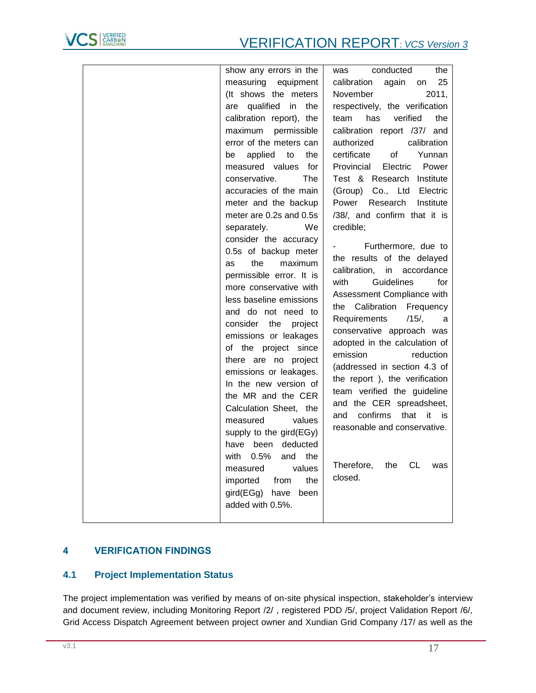

| show any errors in the     | conducted<br>the<br>was                |
|----------------------------|----------------------------------------|
| measuring equipment        | 25<br>calibration<br>again<br>on       |
| (It shows the meters       | November<br>2011,                      |
| are qualified in the       | respectively, the verification         |
| calibration report), the   | verified<br>has<br>the<br>team         |
| maximum permissible        | calibration report /37/ and            |
| error of the meters can    | authorized<br>calibration              |
| applied to<br>the<br>be    | of<br>certificate<br>Yunnan            |
| measured values for        | Provincial<br>Electric<br>Power        |
| conservative.<br>The       | Test & Research Institute              |
| accuracies of the main     | (Group) Co., Ltd Electric              |
| meter and the backup       | Power Research<br>Institute            |
| meter are 0.2s and 0.5s    | /38/, and confirm that it is           |
| separately.<br>We          | credible;                              |
| consider the accuracy      |                                        |
| 0.5s of backup meter       | Furthermore, due to                    |
| the<br>maximum<br>as       | the results of the delayed             |
| permissible error. It is   | calibration,<br>in accordance          |
| more conservative with     | with<br>Guidelines<br>for              |
| less baseline emissions    | Assessment Compliance with             |
| and do not need to         | the Calibration Frequency              |
| consider<br>the<br>project | Requirements<br>$/15/$ ,<br>a          |
| emissions or leakages      | conservative approach was              |
| of the project since       | adopted in the calculation of          |
| there are no project       | emission<br>reduction                  |
| emissions or leakages.     | (addressed in section 4.3 of           |
| In the new version of      | the report), the verification          |
| the MR and the CER         | team verified the guideline            |
| Calculation Sheet, the     | and the CER spreadsheet,               |
| measured<br>values         | confirms<br>that<br>and<br>it<br>is is |
| supply to the gird(EGy)    | reasonable and conservative.           |
| have been<br>deducted      |                                        |
| 0.5%<br>with<br>and<br>the |                                        |
| values<br>measured         | Therefore,<br>the<br>CL<br>was         |
| the<br>imported from       | closed.                                |
| gird(EGg) have<br>been     |                                        |
| added with 0.5%.           |                                        |
|                            |                                        |
|                            |                                        |

# <span id="page-16-0"></span>**4 VERIFICATION FINDINGS**

# <span id="page-16-1"></span>**4.1 Project Implementation Status**

The project implementation was verified by means of on-site physical inspection, stakeholder's interview and document review, including Monitoring Report [/2/](#page-6-9) , registered PDD [/5/,](#page-6-3) project Validation Report [/6/,](#page-6-5) Grid Access Dispatch Agreement between project owner and Xundian Grid Company [/17/](#page-6-10) as well as the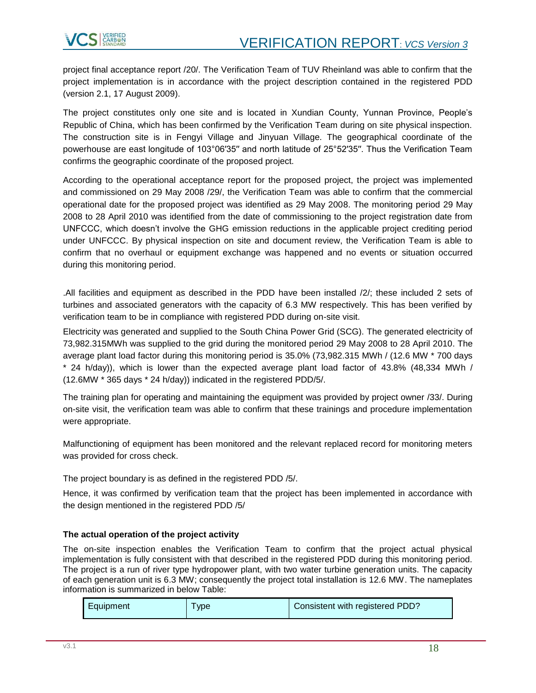

project final acceptance report [/20/.](#page-6-1) The Verification Team of TUV Rheinland was able to confirm that the project implementation is in accordance with the project description contained in the registered PDD [\(version 2.1, 17 August 2009\)](#page-5-4).

The project constitutes only one site and is located in Xundian County, Yunnan Province, People's Republic of China, which has been confirmed by the Verification Team during on site physical inspection. The construction site is in Fengyi Village and Jinyuan Village. The geographical coordinate of the powerhouse are east longitude of 103°06′35′′ and north latitude of 25°52′35′′. Thus the Verification Team confirms the geographic coordinate of the proposed project.

According to the operational acceptance report for the proposed project, the project was implemented and commissioned on 29 May 2008 [/29/,](#page-7-6) the Verification Team was able to confirm that the commercial operational date for the proposed project was identified as 29 May 2008. The monitoring period [29 May](#page-1-0)  [2008 to 28 April 2010](#page-1-0) was identified from the date of commissioning to the project registration date from UNFCCC, which doesn't involve the GHG emission reductions in the applicable project crediting period under UNFCCC. By physical inspection on site and document review, the Verification Team is able to confirm that no overhaul or equipment exchange was happened and no events or situation occurred during this monitoring period.

.All facilities and equipment as described in the PDD have been installed [/2/;](#page-6-9) these included 2 sets of turbines and associated generators with the capacity of 6.3 MW respectively. This has been verified by verification team to be in compliance with registered PDD during on-site visit.

Electricity was generated and supplied to the South China Power Grid (SCG). The generated electricity of 73,982.315MWh was supplied to the grid during the monitored period [29 May 2008 to 28 April 2010.](#page-1-0) The average plant load factor during this monitoring period is 35.0% (73,982.315 MWh / (12.6 MW \* 700 days \* 24 h/day)), which is lower than the expected average plant load factor of 43.8% (48,334 MWh / (12.6MW \* 365 days \* 24 h/day)) indicated in the registered PD[D/5/.](#page-6-3)

The training plan for operating and maintaining the equipment was provided by project owner [/33/.](#page-7-7) During on-site visit, the verification team was able to confirm that these trainings and procedure implementation were appropriate.

Malfunctioning of equipment has been monitored and the relevant replaced record for monitoring meters was provided for cross check.

The project boundary is as defined in the registered PDD [/5/.](#page-6-3)

Hence, it was confirmed by verification team that the project has been implemented in accordance with the design mentioned in the registered PDD [/5/](#page-6-3)

#### **The actual operation of the project activity**

The on-site inspection enables the Verification Team to confirm that the project actual physical implementation is fully consistent with that described in the registered PDD during this monitoring period. The project is a run of river type hydropower plant, with two water turbine generation units. The capacity of each generation unit is 6.3 MW; consequently the project total installation is 12.6 MW. The nameplates information is summarized in below Table:

|  | Equipment | <b>vpe</b> | Consistent with registered PDD? |  |
|--|-----------|------------|---------------------------------|--|
|--|-----------|------------|---------------------------------|--|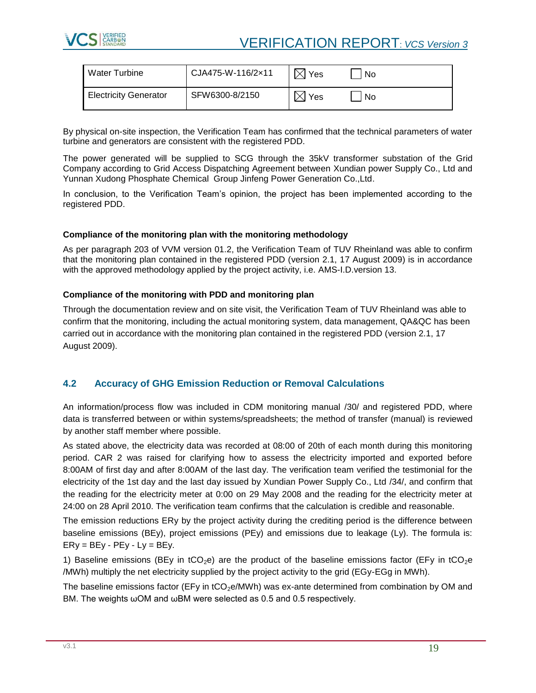

# VERIFICATION REPORT: *VCS Version 3*

| l Water Turbine              | CJA475-W-116/2×11 | <b>Yes</b> | No  |
|------------------------------|-------------------|------------|-----|
| <b>Electricity Generator</b> | SFW6300-8/2150    | Yes        | No. |

By physical on-site inspection, the Verification Team has confirmed that the technical parameters of water turbine and generators are consistent with the registered PDD.

The power generated will be supplied to SCG through the 35kV transformer substation of the Grid Company according to Grid Access Dispatching Agreement between Xundian power Supply Co., Ltd and [Yunnan Xudong Phosphate Chemical Group Jinfeng Power Generation Co.,Ltd.](#page-0-0)

In conclusion, to the Verification Team's opinion, the project has been implemented according to the registered PDD.

#### **Compliance of the monitoring plan with the monitoring methodology**

As per paragraph 203 of VVM version 01.2, the Verification Team of TUV Rheinland was able to confirm that the monitoring plan contained in the registered PDD [\(version 2.1, 17 August 2009\)](#page-5-4) is in accordance with the approved methodology applied by the project activity, i.e. [AMS-I.D.version 13.](#page-5-2)

#### **Compliance of the monitoring with PDD and monitoring plan**

Through the documentation review and on site visit, the Verification Team of TUV Rheinland was able to confirm that the monitoring, including the actual monitoring system, data management, QA&QC has been carried out in accordance with the monitoring plan contained in the registered PDD [\(version 2.1, 17](#page-5-4)  [August 2009\)](#page-5-4).

# <span id="page-18-0"></span>**4.2 Accuracy of GHG Emission Reduction or Removal Calculations**

An information/process flow was included in CDM monitoring manual [/30/](#page-7-8) and registered PDD, where data is transferred between or within systems/spreadsheets; the method of transfer (manual) is reviewed by another staff member where possible.

As stated above, the electricity data was recorded at 08:00 of 20th of each month during this monitoring period. CAR 2 was raised for clarifying how to assess the electricity imported and exported before 8:00AM of first day and after 8:00AM of the last day. The verification team verified the testimonial for the electricity of the 1st day and the last day issued by Xundian Power Supply Co., Ltd [/34/,](#page-7-9) and confirm that the reading for the electricity meter at 0:00 on 29 May 2008 and the reading for the electricity meter at 24:00 on 28 April 2010. The verification team confirms that the calculation is credible and reasonable.

The emission reductions ERy by the project activity during the crediting period is the difference between baseline emissions (BEy), project emissions (PEy) and emissions due to leakage (Ly). The formula is:  $ENy = BEy - PEy - Ly = BEy$ .

1) Baseline emissions (BEy in tCO<sub>2</sub>e) are the product of the baseline emissions factor (EFy in tCO<sub>2</sub>e /MWh) multiply the net electricity supplied by the project activity to the grid (EGy-EGg in MWh).

The baseline emissions factor (EFy in tCO<sub>2</sub>e/MWh) was ex-ante determined from combination by OM and BM. The weights ωOM and ωBM were selected as 0.5 and 0.5 respectively.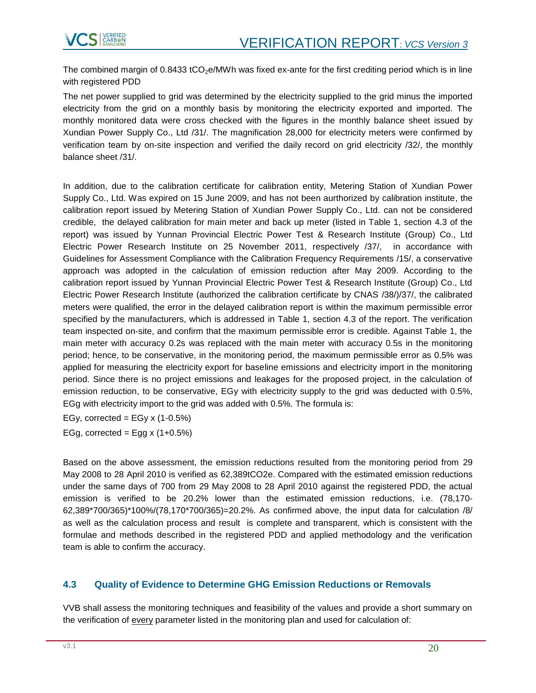

The combined margin of  $0.8433$  tCO<sub>2</sub>e/MWh was fixed ex-ante for the first crediting period which is in line with registered PDD

The net power supplied to grid was determined by the electricity supplied to the grid minus the imported electricity from the grid on a monthly basis by monitoring the electricity exported and imported. The monthly monitored data were cross checked with the figures in the monthly balance sheet issued by Xundian Power Supply Co., Ltd [/31/.](#page-7-10) The magnification 28,000 for electricity meters were confirmed by verification team by on-site inspection and verified the daily record on grid electricity [/32/,](#page-7-11) the monthly balance sheet [/31/.](#page-7-10)

In addition, due to the calibration certificate for calibration entity, Metering Station of Xundian Power Supply Co., Ltd. Was expired on 15 June 2009, and has not been aurthorized by calibration institute, the calibration report issued by Metering Station of Xundian Power Supply Co., Ltd. can not be considered credible, the delayed calibration for main meter and back up meter (listed in Table 1, section 4.3 of the report) was issued by Yunnan Provincial Electric Power Test & Research Institute (Group) Co., Ltd Electric Power Research Institute on 25 November 2011, respectively [/37/,](#page-7-4) in accordance with Guidelines for Assessment Compliance with the Calibration Frequency Requirements [/15/,](#page-6-8) a conservative approach was adopted in the calculation of emission reduction after May 2009. According to the calibration report issued by Yunnan Provincial Electric Power Test & Research Institute (Group) Co., Ltd Electric Power Research Institute (authorized the calibration certificate by CNAS [/38/\)](#page-7-5)[/37/,](#page-7-4) the calibrated meters were qualified, the error in the delayed calibration report is within the maximum permissible error specified by the manufacturers, which is addressed in Table 1, section 4.3 of the report. The verification team inspected on-site, and confirm that the maximum permissible error is credible. Against Table 1, the main meter with accuracy 0.2s was replaced with the main meter with accuracy 0.5s in the monitoring period; hence, to be conservative, in the monitoring period, the maximum permissible error as 0.5% was applied for measuring the electricity export for baseline emissions and electricity import in the monitoring period. Since there is no project emissions and leakages for the proposed project, in the calculation of emission reduction, to be conservative, EGy with electricity supply to the grid was deducted with 0.5%, EGg with electricity import to the grid was added with 0.5%. The formula is:

EGy, corrected = EGy  $x$  (1-0.5%)

EGg, corrected = Egg  $x(1+0.5%)$ 

Based on the above assessment, the emission reductions resulted from the monitoring period from [29](#page-1-0)  [May 2008 to 28 April 2010](#page-1-0) is verified as [62,389tCO2e.](#page-5-6) Compared with the estimated emission reductions under the same days of 700 from [29 May 2008 to 28 April 2010](#page-1-0) against the registered PDD, the actual emission is verified to be 20.2% lower than the estimated emission reductions, i.e. (78,170- 62,389\*700/365)\*100%/(78,170\*700/365)=20.2%. As confirmed above, the input data for calculation [/8/](#page-6-4) as well as the calculation process and result is complete and transparent, which is consistent with the formulae and methods described in the registered PDD and applied methodology and the verification team is able to confirm the accuracy.

# <span id="page-19-0"></span>**4.3 Quality of Evidence to Determine GHG Emission Reductions or Removals**

VVB shall assess the monitoring techniques and feasibility of the values and provide a short summary on the verification of every parameter listed in the monitoring plan and used for calculation of: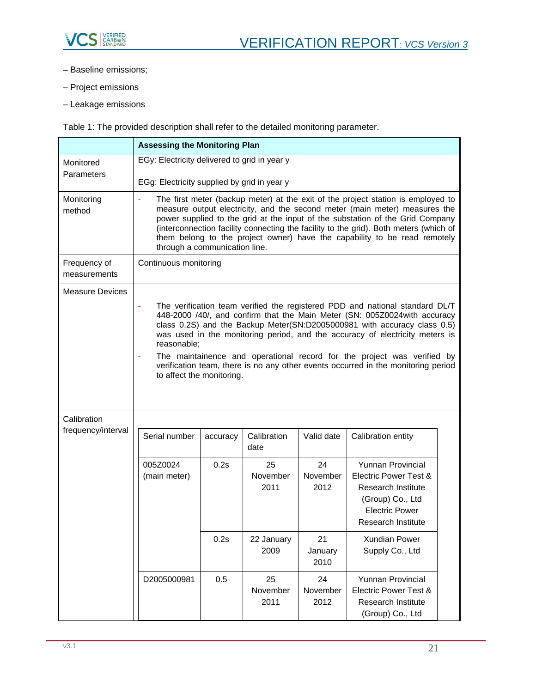

- Baseline emissions;
- Project emissions
- Leakage emissions

Table 1: The provided description shall refer to the detailed monitoring parameter.

|                                   | <b>Assessing the Monitoring Plan</b>                                                                                                                                                                                                                                                                                                                                                                                                                   |          |                        |                        |                                                                                                                                                                                                                                                                                                                                                                                                                                                                                       |  |
|-----------------------------------|--------------------------------------------------------------------------------------------------------------------------------------------------------------------------------------------------------------------------------------------------------------------------------------------------------------------------------------------------------------------------------------------------------------------------------------------------------|----------|------------------------|------------------------|---------------------------------------------------------------------------------------------------------------------------------------------------------------------------------------------------------------------------------------------------------------------------------------------------------------------------------------------------------------------------------------------------------------------------------------------------------------------------------------|--|
| Monitored<br>Parameters           | EGy: Electricity delivered to grid in year y<br>EGg: Electricity supplied by grid in year y                                                                                                                                                                                                                                                                                                                                                            |          |                        |                        |                                                                                                                                                                                                                                                                                                                                                                                                                                                                                       |  |
| Monitoring<br>method              | The first meter (backup meter) at the exit of the project station is employed to<br>measure output electricity, and the second meter (main meter) measures the<br>power supplied to the grid at the input of the substation of the Grid Company<br>(interconnection facility connecting the facility to the grid). Both meters (which of<br>them belong to the project owner) have the capability to be read remotely<br>through a communication line. |          |                        |                        |                                                                                                                                                                                                                                                                                                                                                                                                                                                                                       |  |
| Frequency of<br>measurements      | Continuous monitoring                                                                                                                                                                                                                                                                                                                                                                                                                                  |          |                        |                        |                                                                                                                                                                                                                                                                                                                                                                                                                                                                                       |  |
| Measure Devices                   | reasonable;<br>to affect the monitoring.                                                                                                                                                                                                                                                                                                                                                                                                               |          |                        |                        | The verification team verified the registered PDD and national standard DL/T<br>448-2000 /40/, and confirm that the Main Meter (SN: 005Z0024with accuracy<br>class 0.2S) and the Backup Meter(SN:D2005000981 with accuracy class 0.5)<br>was used in the monitoring period, and the accuracy of electricity meters is<br>The maintainence and operational record for the project was verified by<br>verification team, there is no any other events occurred in the monitoring period |  |
| Calibration<br>frequency/interval | Serial number                                                                                                                                                                                                                                                                                                                                                                                                                                          | accuracy | Calibration<br>date    | Valid date             | Calibration entity                                                                                                                                                                                                                                                                                                                                                                                                                                                                    |  |
|                                   | 005Z0024<br>(main meter)                                                                                                                                                                                                                                                                                                                                                                                                                               | 0.2s     | 25<br>November<br>2011 | 24<br>November<br>2012 | <b>Yunnan Provincial</b><br>Electric Power Test &<br><b>Research Institute</b><br>(Group) Co., Ltd<br><b>Electric Power</b><br>Research Institute                                                                                                                                                                                                                                                                                                                                     |  |
|                                   |                                                                                                                                                                                                                                                                                                                                                                                                                                                        | 0.2s     | 22 January<br>2009     | 21<br>January<br>2010  | Xundian Power<br>Supply Co., Ltd                                                                                                                                                                                                                                                                                                                                                                                                                                                      |  |
|                                   | D2005000981                                                                                                                                                                                                                                                                                                                                                                                                                                            | 0.5      | 25<br>November<br>2011 | 24<br>November<br>2012 | Yunnan Provincial<br><b>Electric Power Test &amp;</b><br><b>Research Institute</b><br>(Group) Co., Ltd                                                                                                                                                                                                                                                                                                                                                                                |  |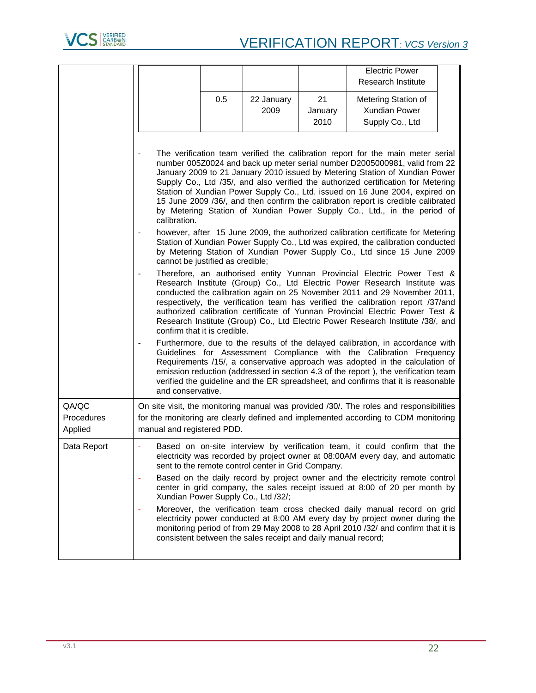

|                                |                                                                                                                                                                                                                                                                                                                                                                                                                                                                                                                                                                                                   |     |                                                               |         | <b>Electric Power</b>                                                                                                                                                                                                                                                                                                                                                                                                                                                                    |  |
|--------------------------------|---------------------------------------------------------------------------------------------------------------------------------------------------------------------------------------------------------------------------------------------------------------------------------------------------------------------------------------------------------------------------------------------------------------------------------------------------------------------------------------------------------------------------------------------------------------------------------------------------|-----|---------------------------------------------------------------|---------|------------------------------------------------------------------------------------------------------------------------------------------------------------------------------------------------------------------------------------------------------------------------------------------------------------------------------------------------------------------------------------------------------------------------------------------------------------------------------------------|--|
|                                |                                                                                                                                                                                                                                                                                                                                                                                                                                                                                                                                                                                                   |     |                                                               |         | Research Institute                                                                                                                                                                                                                                                                                                                                                                                                                                                                       |  |
|                                |                                                                                                                                                                                                                                                                                                                                                                                                                                                                                                                                                                                                   | 0.5 | 22 January                                                    | 21      | Metering Station of                                                                                                                                                                                                                                                                                                                                                                                                                                                                      |  |
|                                |                                                                                                                                                                                                                                                                                                                                                                                                                                                                                                                                                                                                   |     | 2009                                                          | January | Xundian Power                                                                                                                                                                                                                                                                                                                                                                                                                                                                            |  |
|                                |                                                                                                                                                                                                                                                                                                                                                                                                                                                                                                                                                                                                   |     |                                                               | 2010    | Supply Co., Ltd                                                                                                                                                                                                                                                                                                                                                                                                                                                                          |  |
|                                |                                                                                                                                                                                                                                                                                                                                                                                                                                                                                                                                                                                                   |     |                                                               |         |                                                                                                                                                                                                                                                                                                                                                                                                                                                                                          |  |
|                                | The verification team verified the calibration report for the main meter serial<br>number 005Z0024 and back up meter serial number D2005000981, valid from 22<br>January 2009 to 21 January 2010 issued by Metering Station of Xundian Power<br>Supply Co., Ltd /35/, and also verified the authorized certification for Metering<br>Station of Xundian Power Supply Co., Ltd. issued on 16 June 2004, expired on<br>15 June 2009 /36/, and then confirm the calibration report is credible calibrated<br>by Metering Station of Xundian Power Supply Co., Ltd., in the period of<br>calibration. |     |                                                               |         |                                                                                                                                                                                                                                                                                                                                                                                                                                                                                          |  |
|                                | cannot be justified as credible;                                                                                                                                                                                                                                                                                                                                                                                                                                                                                                                                                                  |     |                                                               |         | however, after 15 June 2009, the authorized calibration certificate for Metering<br>Station of Xundian Power Supply Co., Ltd was expired, the calibration conducted<br>by Metering Station of Xundian Power Supply Co., Ltd since 15 June 2009                                                                                                                                                                                                                                           |  |
|                                | confirm that it is credible.                                                                                                                                                                                                                                                                                                                                                                                                                                                                                                                                                                      |     |                                                               |         | Therefore, an authorised entity Yunnan Provincial Electric Power Test &<br>Research Institute (Group) Co., Ltd Electric Power Research Institute was<br>conducted the calibration again on 25 November 2011 and 29 November 2011,<br>respectively, the verification team has verified the calibration report /37/and<br>authorized calibration certificate of Yunnan Provincial Electric Power Test &<br>Research Institute (Group) Co., Ltd Electric Power Research Institute /38/, and |  |
|                                | and conservative.                                                                                                                                                                                                                                                                                                                                                                                                                                                                                                                                                                                 |     |                                                               |         | Furthermore, due to the results of the delayed calibration, in accordance with<br>Guidelines for Assessment Compliance with the Calibration Frequency<br>Requirements /15/, a conservative approach was adopted in the calculation of<br>emission reduction (addressed in section 4.3 of the report), the verification team<br>verified the guideline and the ER spreadsheet, and confirms that it is reasonable                                                                         |  |
| QA/QC<br>Procedures<br>Applied | manual and registered PDD.                                                                                                                                                                                                                                                                                                                                                                                                                                                                                                                                                                        |     |                                                               |         | On site visit, the monitoring manual was provided /30/. The roles and responsibilities<br>for the monitoring are clearly defined and implemented according to CDM monitoring                                                                                                                                                                                                                                                                                                             |  |
| Data Report                    |                                                                                                                                                                                                                                                                                                                                                                                                                                                                                                                                                                                                   |     | sent to the remote control center in Grid Company.            |         | Based on on-site interview by verification team, it could confirm that the<br>electricity was recorded by project owner at 08:00AM every day, and automatic                                                                                                                                                                                                                                                                                                                              |  |
|                                |                                                                                                                                                                                                                                                                                                                                                                                                                                                                                                                                                                                                   |     | Xundian Power Supply Co., Ltd /32/;                           |         | Based on the daily record by project owner and the electricity remote control<br>center in grid company, the sales receipt issued at 8:00 of 20 per month by                                                                                                                                                                                                                                                                                                                             |  |
|                                |                                                                                                                                                                                                                                                                                                                                                                                                                                                                                                                                                                                                   |     | consistent between the sales receipt and daily manual record; |         | Moreover, the verification team cross checked daily manual record on grid<br>electricity power conducted at 8:00 AM every day by project owner during the<br>monitoring period of from 29 May 2008 to 28 April 2010 /32/ and confirm that it is                                                                                                                                                                                                                                          |  |
|                                |                                                                                                                                                                                                                                                                                                                                                                                                                                                                                                                                                                                                   |     |                                                               |         |                                                                                                                                                                                                                                                                                                                                                                                                                                                                                          |  |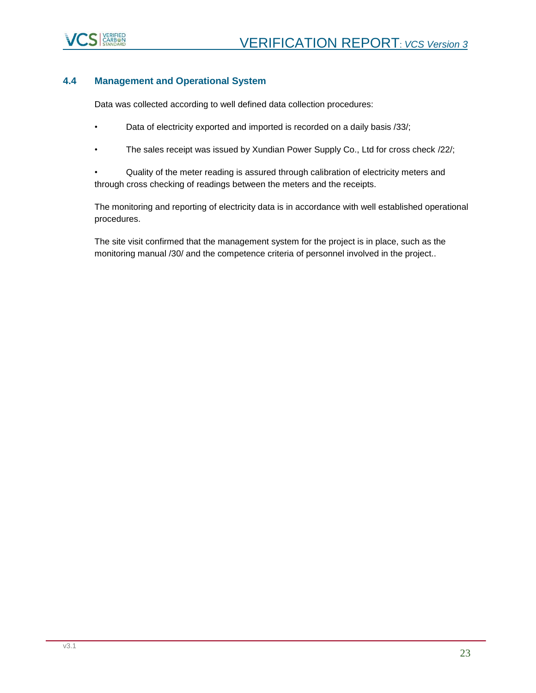

### <span id="page-22-0"></span>**4.4 Management and Operational System**

Data was collected according to well defined data collection procedures:

- Data of electricity exported and imported is recorded on a daily basis /33/;
- The sales receipt was issued by Xundian Power Supply Co., Ltd for cross check [/22/;](#page-7-13)

• Quality of the meter reading is assured through calibration of electricity meters and through cross checking of readings between the meters and the receipts.

The monitoring and reporting of electricity data is in accordance with well established operational procedures.

The site visit confirmed that the management system for the project is in place, such as the monitoring manual [/30/](#page-7-8) and the competence criteria of personnel involved in the project..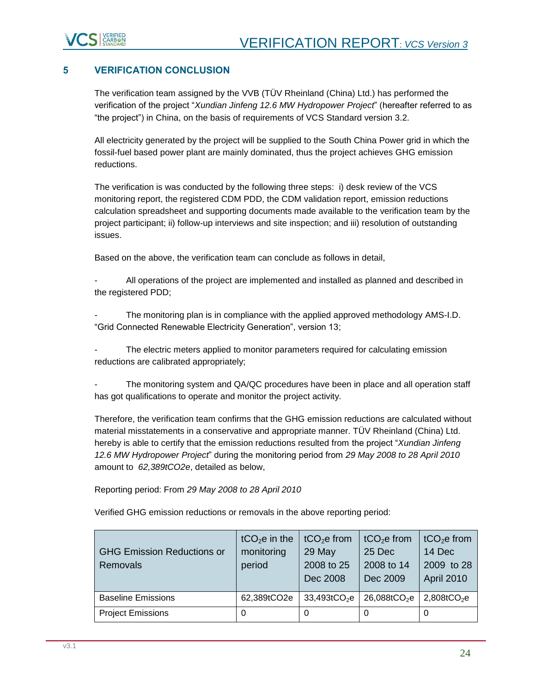

# <span id="page-23-0"></span>**5 VERIFICATION CONCLUSION**

The verification team assigned by the VVB (TÜV Rheinland (China) Ltd.) has performed the verification of the project "*[Xundian Jinfeng 12.6 MW Hydropower Project](#page-0-1)*" (hereafter referred to as "the project") in China, on the basis of requirements of VCS Standard version 3.2.

All electricity generated by the project will be supplied to the South China Power grid in which the fossil-fuel based power plant are mainly dominated, thus the project achieves GHG emission reductions.

The verification is was conducted by the following three steps: i) desk review of the VCS monitoring report, the registered CDM PDD, the CDM validation report, emission reductions calculation spreadsheet and supporting documents made available to the verification team by the project participant; ii) follow-up interviews and site inspection; and iii) resolution of outstanding issues.

Based on the above, the verification team can conclude as follows in detail,

All operations of the project are implemented and installed as planned and described in the registered PDD;

The monitoring plan is in compliance with the applied approved methodology AMS-I.D. "Grid Connected Renewable Electricity Generation", version 13;

The electric meters applied to monitor parameters required for calculating emission reductions are calibrated appropriately;

The monitoring system and QA/QC procedures have been in place and all operation staff has got qualifications to operate and monitor the project activity.

Therefore, the verification team confirms that the GHG emission reductions are calculated without material misstatements in a conservative and appropriate manner. TÜV Rheinland (China) Ltd. hereby is able to certify that the emission reductions resulted from the project "*[Xundian Jinfeng](#page-0-1)  [12.6 MW Hydropower Project](#page-0-1)*" during the monitoring period from *[29 May 2008 to 28 April 2010](#page-1-0)* amount to *[62,389tCO2e](#page-5-6)*, detailed as below,

Reporting period: From *[29 May 2008 to 28 April 2010](#page-1-0)*

Verified GHG emission reductions or removals in the above reporting period:

| <b>GHG Emission Reductions or</b><br>Removals | $tCO2e$ in the<br>monitoring<br>period | $tCO2e$ from<br>29 May<br>2008 to 25<br>Dec 2008 | $tCO2e$ from<br>25 Dec<br>2008 to 14<br>Dec 2009 | tCO <sub>2</sub> e from<br>14 Dec<br>2009 to 28<br><b>April 2010</b> |
|-----------------------------------------------|----------------------------------------|--------------------------------------------------|--------------------------------------------------|----------------------------------------------------------------------|
| <b>Baseline Emissions</b>                     | 62,389tCO2e                            | $33,493$ tCO <sub>2</sub> e                      | 26,088tCO <sub>2</sub> e                         | 2,808tCO <sub>2</sub> e                                              |
| <b>Project Emissions</b>                      | 0                                      | 0                                                | O                                                | 0                                                                    |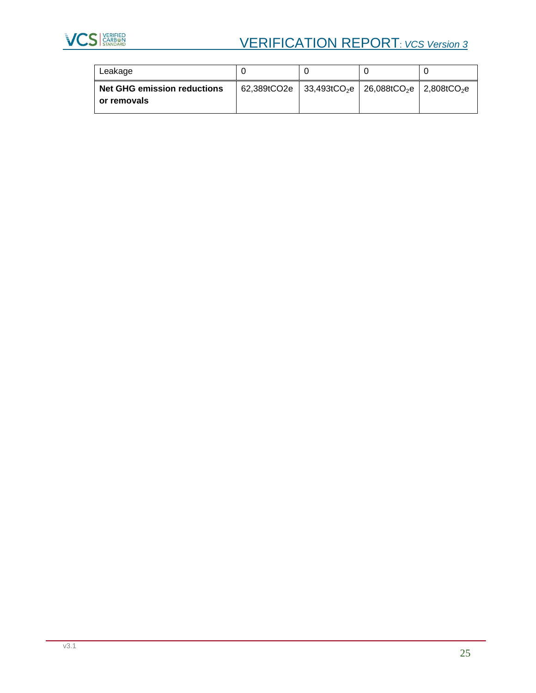

# **VCS** STARBED VERIFICATION REPORT: *VCS Version 3*

| Leakage                                           |                                                                                       |  |  |
|---------------------------------------------------|---------------------------------------------------------------------------------------|--|--|
| <b>Net GHG emission reductions</b><br>or removals | 62,389tCO2e 33,493tCO <sub>2</sub> e 26,088tCO <sub>2</sub> e 2,808tCO <sub>2</sub> e |  |  |